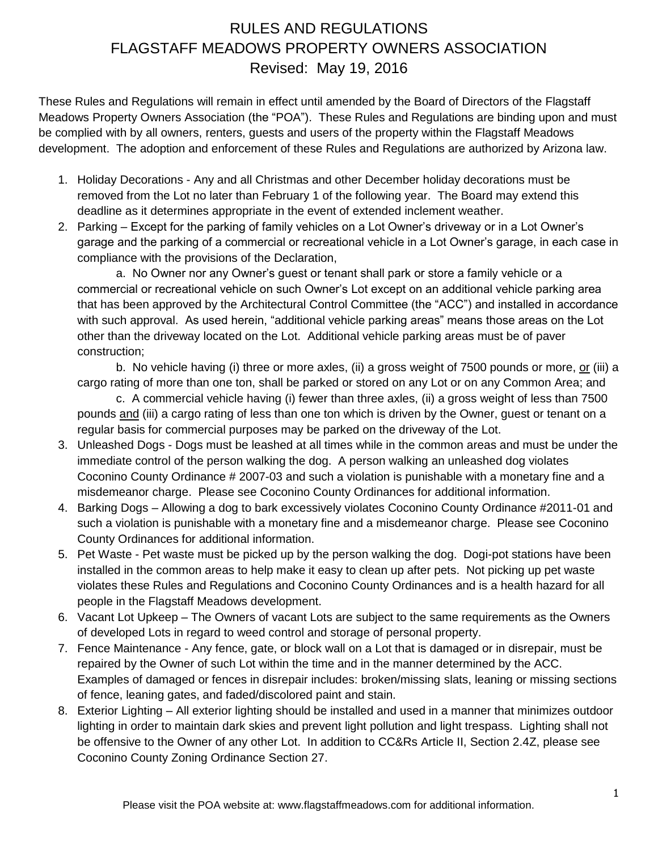## RULES AND REGULATIONS FLAGSTAFF MEADOWS PROPERTY OWNERS ASSOCIATION Revised: May 19, 2016

These Rules and Regulations will remain in effect until amended by the Board of Directors of the Flagstaff Meadows Property Owners Association (the "POA"). These Rules and Regulations are binding upon and must be complied with by all owners, renters, guests and users of the property within the Flagstaff Meadows development. The adoption and enforcement of these Rules and Regulations are authorized by Arizona law.

- 1. Holiday Decorations Any and all Christmas and other December holiday decorations must be removed from the Lot no later than February 1 of the following year. The Board may extend this deadline as it determines appropriate in the event of extended inclement weather.
- 2. Parking Except for the parking of family vehicles on a Lot Owner's driveway or in a Lot Owner's garage and the parking of a commercial or recreational vehicle in a Lot Owner's garage, in each case in compliance with the provisions of the Declaration,

a. No Owner nor any Owner's guest or tenant shall park or store a family vehicle or a commercial or recreational vehicle on such Owner's Lot except on an additional vehicle parking area that has been approved by the Architectural Control Committee (the "ACC") and installed in accordance with such approval. As used herein, "additional vehicle parking areas" means those areas on the Lot other than the driveway located on the Lot. Additional vehicle parking areas must be of paver construction;

b. No vehicle having (i) three or more axles, (ii) a gross weight of 7500 pounds or more, or (iii) a cargo rating of more than one ton, shall be parked or stored on any Lot or on any Common Area; and

c. A commercial vehicle having (i) fewer than three axles, (ii) a gross weight of less than 7500 pounds and (iii) a cargo rating of less than one ton which is driven by the Owner, guest or tenant on a regular basis for commercial purposes may be parked on the driveway of the Lot.

- 3. Unleashed Dogs Dogs must be leashed at all times while in the common areas and must be under the immediate control of the person walking the dog. A person walking an unleashed dog violates Coconino County Ordinance # 2007-03 and such a violation is punishable with a monetary fine and a misdemeanor charge. Please see Coconino County Ordinances for additional information.
- 4. Barking Dogs Allowing a dog to bark excessively violates Coconino County Ordinance #2011-01 and such a violation is punishable with a monetary fine and a misdemeanor charge. Please see Coconino County Ordinances for additional information.
- 5. Pet Waste Pet waste must be picked up by the person walking the dog. Dogi-pot stations have been installed in the common areas to help make it easy to clean up after pets. Not picking up pet waste violates these Rules and Regulations and Coconino County Ordinances and is a health hazard for all people in the Flagstaff Meadows development.
- 6. Vacant Lot Upkeep The Owners of vacant Lots are subject to the same requirements as the Owners of developed Lots in regard to weed control and storage of personal property.
- 7. Fence Maintenance Any fence, gate, or block wall on a Lot that is damaged or in disrepair, must be repaired by the Owner of such Lot within the time and in the manner determined by the ACC. Examples of damaged or fences in disrepair includes: broken/missing slats, leaning or missing sections of fence, leaning gates, and faded/discolored paint and stain.
- 8. Exterior Lighting All exterior lighting should be installed and used in a manner that minimizes outdoor lighting in order to maintain dark skies and prevent light pollution and light trespass. Lighting shall not be offensive to the Owner of any other Lot. In addition to CC&Rs Article II, Section 2.4Z, please see Coconino County Zoning Ordinance Section 27.